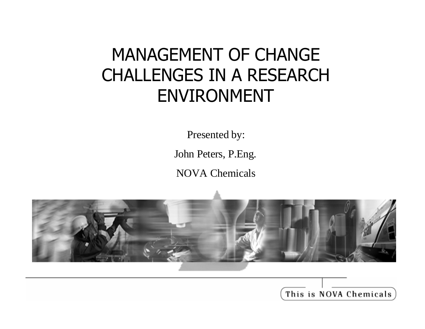### MANAGEMENT OF CHANGE CHALLENGES IN A RESEARCH ENVIRONMENT

Presented by:

John Peters, P.Eng.

NOVA Chemicals



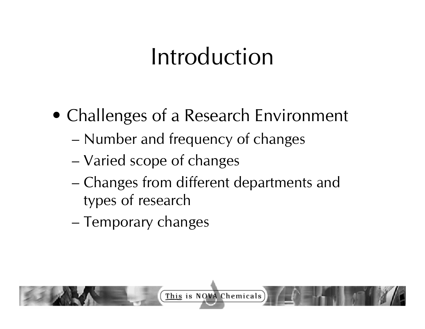## Introduction

- Challenges of a Research Environment
	- Number and frequency of changes
	- Varied scope of changes
	- Changes from different departments and types of research
	- Temporary changes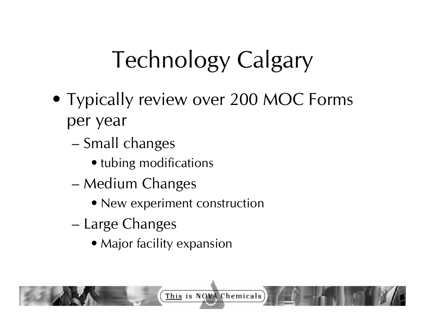# Technology Calgary

- Typically review over 200 MOC Forms per year
	- Small changes
		- tubing modifications
	- Medium Changes
		- New experiment construction
	- Large Changes
		- Major facility expansion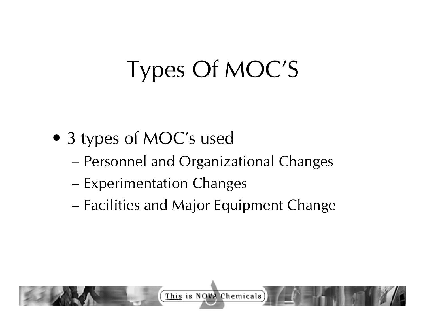# Types Of MOC'S

- 3 types of MOC's used
	- Personnel and Organizational Changes
	- Experimentation Changes
	- Facilities and Major Equipment Change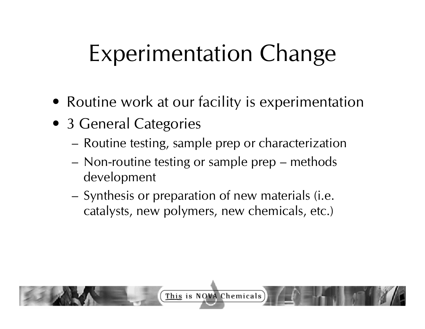- Routine work at our facility is experimentation
- 3 General Categories
	- Routine testing, sample prep or characterization
	- Non-routine testing or sample prep methods development
	- Synthesis or preparation of new materials (i.e. catalysts, new polymers, new chemicals, etc.)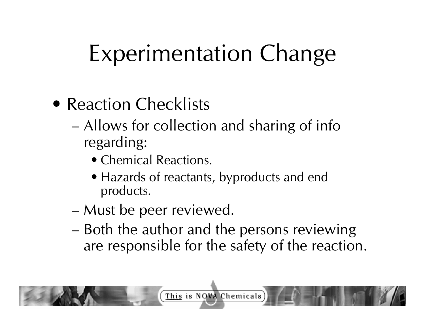- Reaction Checklists
	- Allows for collection and sharing of info regarding:
		- Chemical Reactions.
		- Hazards of reactants, byproducts and end products.
	- Must be peer reviewed.
	- Both the author and the persons reviewing are responsible for the safety of the reaction.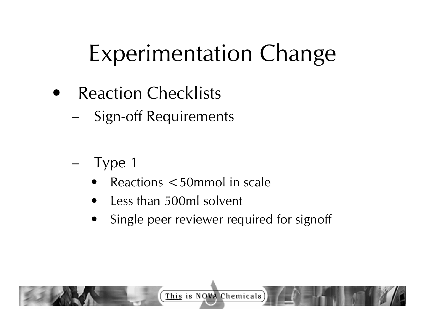- **Reaction Checklists** 
	- Sign-off Requirements
	- Type 1
		- $Reactions < 50$ mmol in scale
		- Less than 500ml solvent
		- Single peer reviewer required for signoff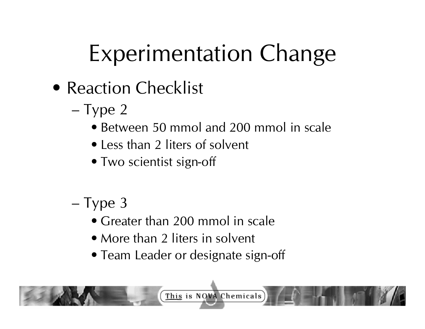- Reaction Checklist
	- Type 2
		- Between 50 mmol and 200 mmol in scale
		- Less than 2 liters of solvent
		- Two scientist sign-off
	- Type 3
		- Greater than 200 mmol in scale
		- More than 2 liters in solvent
		- Team Leader or designate sign-off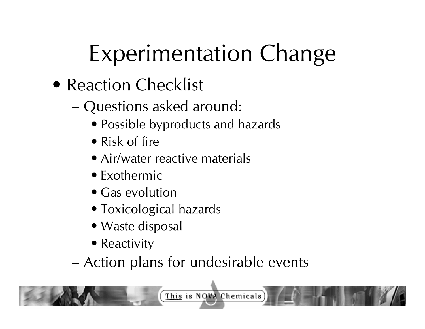- Reaction Checklist
	- Questions asked around:
		- Possible byproducts and hazards
		- Risk of fire
		- Air/water reactive materials
		- Exothermic
		- Gas evolution
		- Toxicological hazards
		- Waste disposal
		- Reactivity
	- Action plans for undesirable events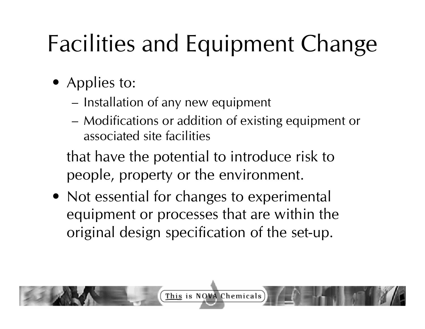- Applies to:
	- Installation of any new equipment
	- Modifications or addition of existing equipment or associated site facilities

that have the potential to introduce risk to people, property or the environment.

• Not essential for changes to experimental equipment or processes that are within the original design specification of the set-up.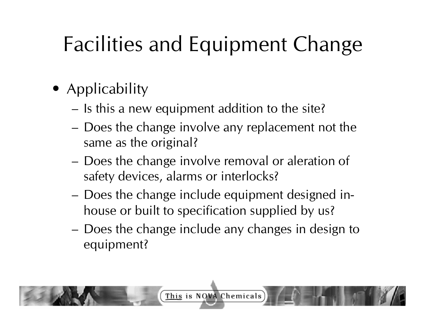- Applicability
	- Is this a new equipment addition to the site?
	- Does the change involve any replacement not the same as the original?
	- Does the change involve removal or aleration of safety devices, alarms or interlocks?
	- Does the change include equipment designed inhouse or built to specification supplied by us?
	- Does the change include any changes in design to equipment?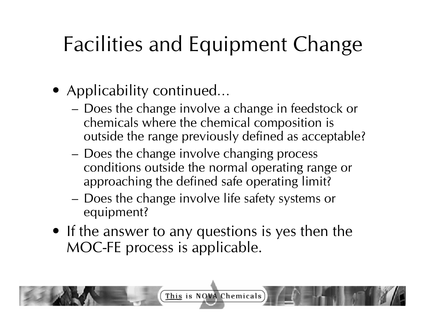- Applicability continued…
	- Does the change involve a change in feedstock or chemicals where the chemical composition is outside the range previously defined as acceptable?
	- Does the change involve changing process conditions outside the normal operating range or approaching the defined safe operating limit?
	- Does the change involve life safety systems or equipment?
- If the answer to any questions is yes then the MOC-FE process is applicable.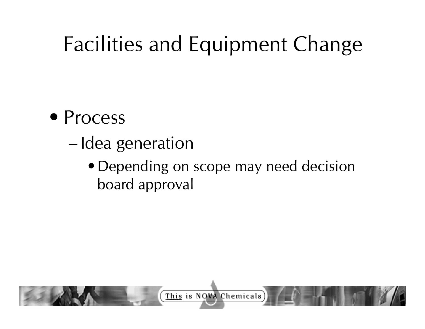- Process
	- Idea generation
		- Depending on scope may need decision board approval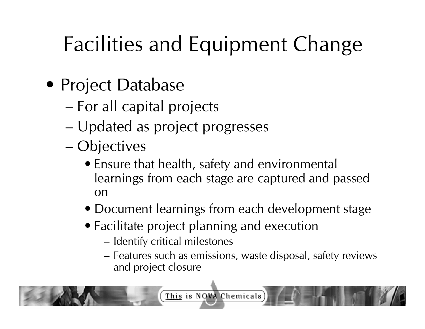- Project Database
	- For all capital projects
	- Updated as project progresses
	- Objectives
		- Ensure that health, safety and environmental learnings from each stage are captured and passed on
		- Document learnings from each development stage
		- Facilitate project planning and execution
			- Identify critical milestones
			- Features such as emissions, waste disposal, safety reviews and project closure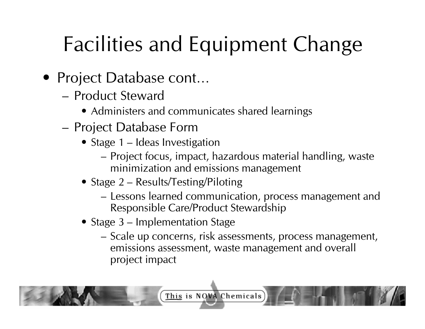- Project Database cont…
	- Product Steward
		- Administers and communicates shared learnings
	- Project Database Form
		- Stage 1 Ideas Investigation
			- Project focus, impact, hazardous material handling, waste minimization and emissions management
		- Stage 2 Results/Testing/Piloting
			- Lessons learned communication, process management and Responsible Care/Product Stewardship
		- Stage 3 Implementation Stage
			- Scale up concerns, risk assessments, process management, emissions assessment, waste management and overall project impact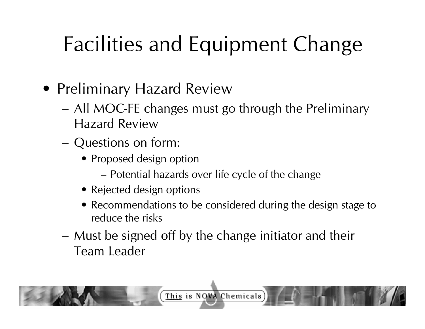- Preliminary Hazard Review
	- All MOC-FE changes must go through the Preliminary Hazard Review
	- Questions on form:
		- Proposed design option
			- Potential hazards over life cycle of the change
		- Rejected design options
		- Recommendations to be considered during the design stage to reduce the risks
	- Must be signed off by the change initiator and their Team Leader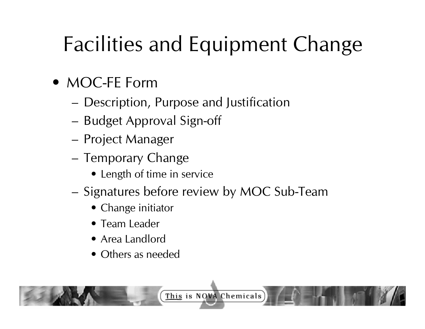- MOC-FE Form
	- Description, Purpose and Justification
	- Budget Approval Sign-off
	- Project Manager
	- Temporary Change
		- Length of time in service
	- Signatures before review by MOC Sub-Team
		- Change initiator
		- Team Leader
		- Area Landlord
		- Others as needed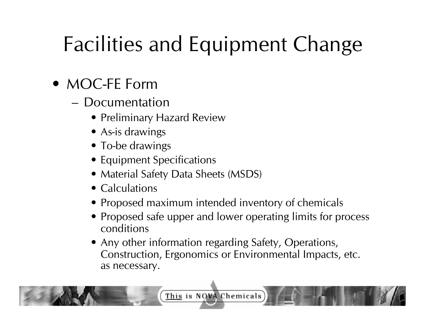- MOC-FE Form
	- Documentation
		- Preliminary Hazard Review
		- As-is drawings
		- To-be drawings
		- Equipment Specifications
		- Material Safety Data Sheets (MSDS)
		- Calculations
		- Proposed maximum intended inventory of chemicals
		- Proposed safe upper and lower operating limits for process conditions
		- Any other information regarding Safety, Operations, Construction, Ergonomics or Environmental Impacts, etc. as necessary.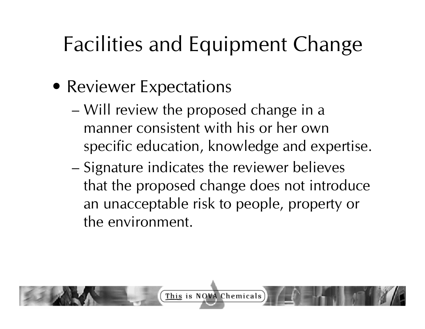- Reviewer Expectations
	- Will review the proposed change in a manner consistent with his or her own specific education, knowledge and expertise.
	- Signature indicates the reviewer believes that the proposed change does not introduce an unacceptable risk to people, property or the environment.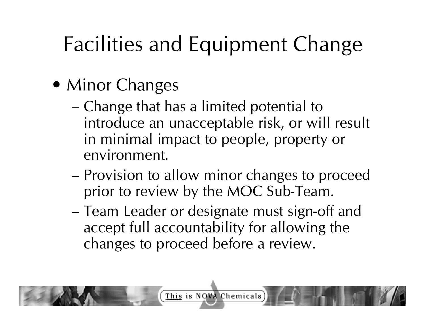- Minor Changes
	- Change that has a limited potential to introduce an unacceptable risk, or will result in minimal impact to people, property or environment.
	- Provision to allow minor changes to proceed prior to review by the MOC Sub-Team.
	- Team Leader or designate must sign-off and accept full accountability for allowing the changes to proceed before a review.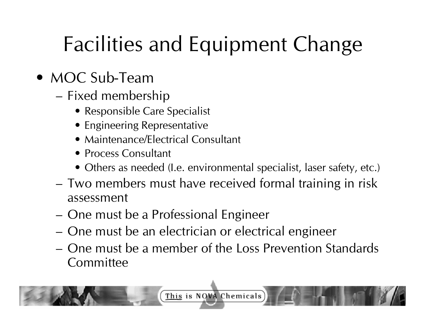#### • MOC Sub-Team

- Fixed membership
	- Responsible Care Specialist
	- Engineering Representative
	- Maintenance/Electrical Consultant
	- Process Consultant
	- Others as needed (I.e. environmental specialist, laser safety, etc.)
- Two members must have received formal training in risk assessment
- One must be a Professional Engineer
- One must be an electrician or electrical engineer
- One must be a member of the Loss Prevention Standards **Committee**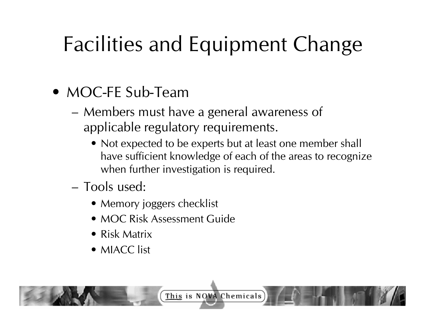#### • MOC-FE Sub-Team

- Members must have a general awareness of applicable regulatory requirements.
	- Not expected to be experts but at least one member shall have sufficient knowledge of each of the areas to recognize when further investigation is required.
- Tools used:
	- Memory joggers checklist
	- MOC Risk Assessment Guide
	- Risk Matrix
	- MIACC list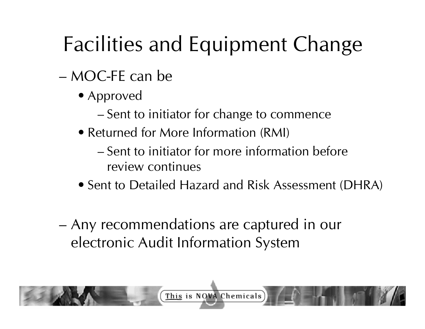- MOC-FE can be
	- Approved
		- Sent to initiator for change to commence
	- Returned for More Information (RMI)
		- Sent to initiator for more information before review continues
	- Sent to Detailed Hazard and Risk Assessment (DHRA)
- Any recommendations are captured in our electronic Audit Information System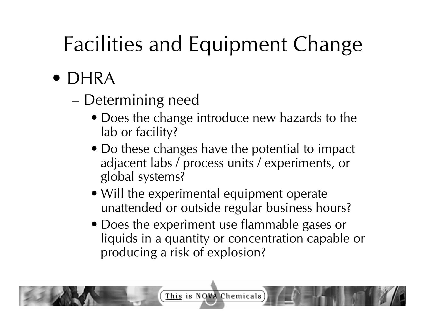- DHRA
	- Determining need
		- Does the change introduce new hazards to the lab or facility?
		- Do these changes have the potential to impact adjacent labs / process units / experiments, or global systems?
		- Will the experimental equipment operate unattended or outside regular business hours?
		- Does the experiment use flammable gases or liquids in a quantity or concentration capable or producing a risk of explosion?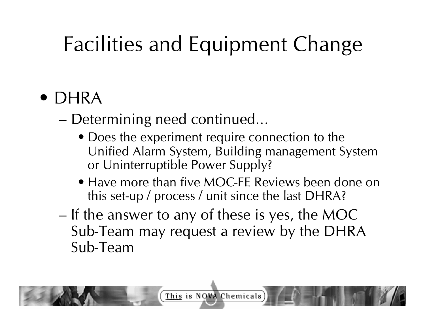### • DHRA

– Determining need continued…

- Does the experiment require connection to the Unified Alarm System, Building management System or Uninterruptible Power Supply?
- Have more than five MOC-FE Reviews been done on this set-up / process / unit since the last DHRA?
- If the answer to any of these is yes, the MOC Sub-Team may request a review by the DHRA Sub-Team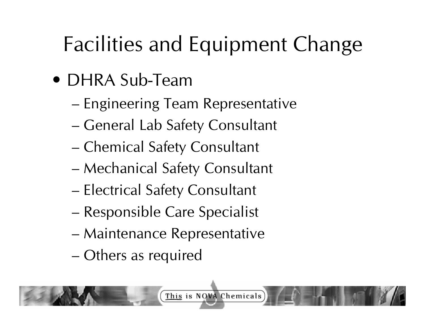- DHRA Sub-Team
	- Engineering Team Representative
	- General Lab Safety Consultant
	- Chemical Safety Consultant
	- Mechanical Safety Consultant
	- Electrical Safety Consultant
	- Responsible Care Specialist
	- Maintenance Representative
	- Others as required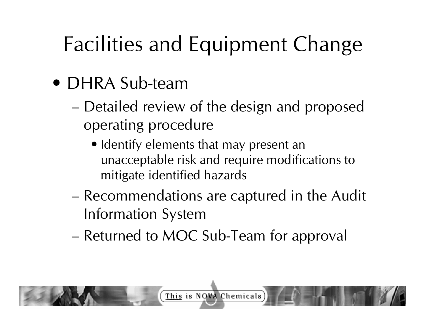- DHRA Sub-team
	- Detailed review of the design and proposed operating procedure
		- Identify elements that may present an unacceptable risk and require modifications to mitigate identified hazards
	- Recommendations are captured in the Audit Information System
	- Returned to MOC Sub-Team for approval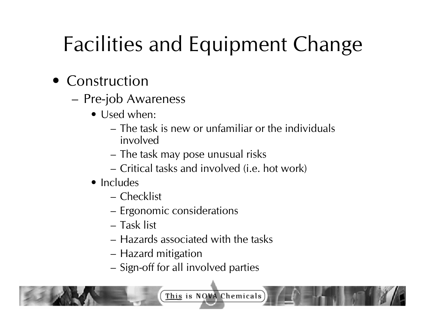- Construction
	- Pre-job Awareness
		- Used when:
			- The task is new or unfamiliar or the individuals involved
			- The task may pose unusual risks
			- Critical tasks and involved (i.e. hot work)
		- Includes
			- Checklist
			- Ergonomic considerations
			- Task list
			- Hazards associated with the tasks
			- Hazard mitigation
			- Sign-off for all involved parties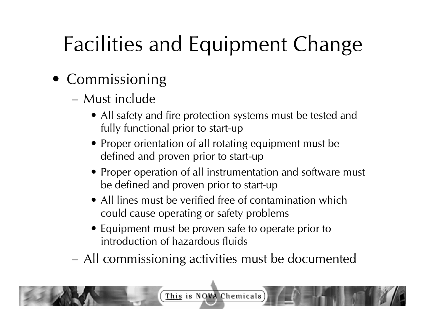- Commissioning
	- Must include
		- All safety and fire protection systems must be tested and fully functional prior to start-up
		- Proper orientation of all rotating equipment must be defined and proven prior to start-up
		- Proper operation of all instrumentation and software must be defined and proven prior to start-up
		- All lines must be verified free of contamination which could cause operating or safety problems
		- Equipment must be proven safe to operate prior to introduction of hazardous fluids
	- All commissioning activities must be documented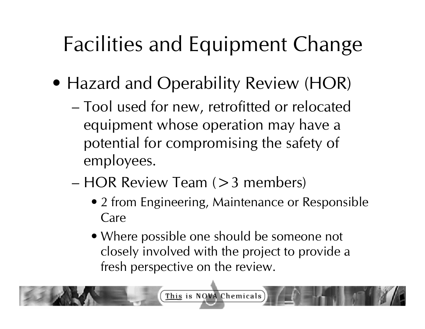- Hazard and Operability Review (HOR)
	- Tool used for new, retrofitted or relocated equipment whose operation may have a potential for compromising the safety of employees.
	- HOR Review Team (>3 members)
		- 2 from Engineering, Maintenance or Responsible Care
		- Where possible one should be someone not closely involved with the project to provide a fresh perspective on the review.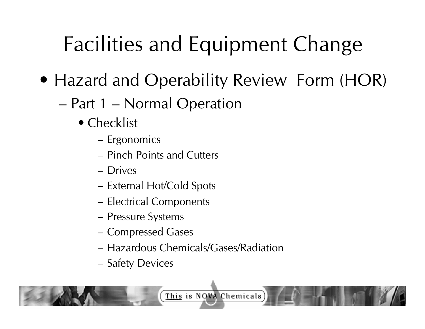- Hazard and Operability Review Form (HOR)
	- Part 1 Normal Operation
		- Checklist
			- Ergonomics
			- Pinch Points and Cutters
			- Drives
			- External Hot/Cold Spots
			- Electrical Components
			- Pressure Systems
			- Compressed Gases
			- Hazardous Chemicals/Gases/Radiation
			- Safety Devices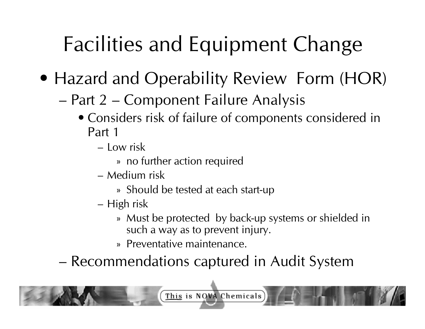- Hazard and Operability Review Form (HOR)
	- Part 2 Component Failure Analysis
		- Considers risk of failure of components considered in Part 1
			- Low risk
				- » no further action required
			- Medium risk
				- » Should be tested at each start-up
			- High risk
				- » Must be protected by back-up systems or shielded in such a way as to prevent injury.
				- » Preventative maintenance.

– Recommendations captured in Audit System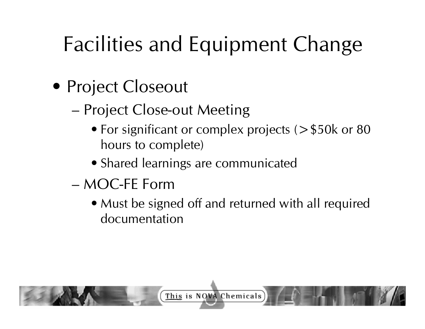- Project Closeout
	- Project Close-out Meeting
		- For significant or complex projects (> \$50k or 80 hours to complete)
		- Shared learnings are communicated
	- MOC-FE Form
		- Must be signed off and returned with all required documentation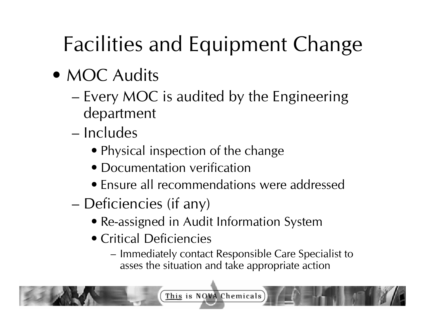- MOC Audits
	- Every MOC is audited by the Engineering department
	- Includes
		- Physical inspection of the change
		- Documentation verification
		- Ensure all recommendations were addressed
	- Deficiencies (if any)
		- Re-assigned in Audit Information System
		- Critical Deficiencies
			- Immediately contact Responsible Care Specialist to asses the situation and take appropriate action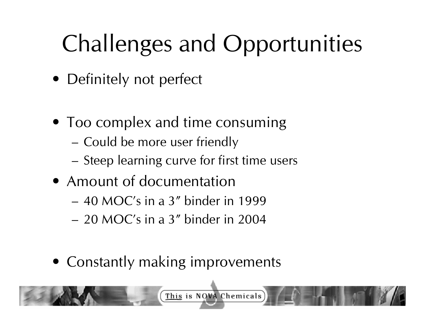# Challenges and Opportunities

- Definitely not perfect
- Too complex and time consuming
	- Could be more user friendly
	- Steep learning curve for first time users
- Amount of documentation
	- 40 MOC's in a 3" binder in 1999
	- 20 MOC's in a 3" binder in 2004
- Constantly making improvements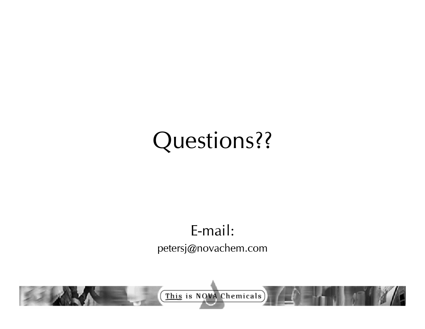### Questions??

### E-mail:

#### petersj@novachem.com

This is NOVA Chemicals